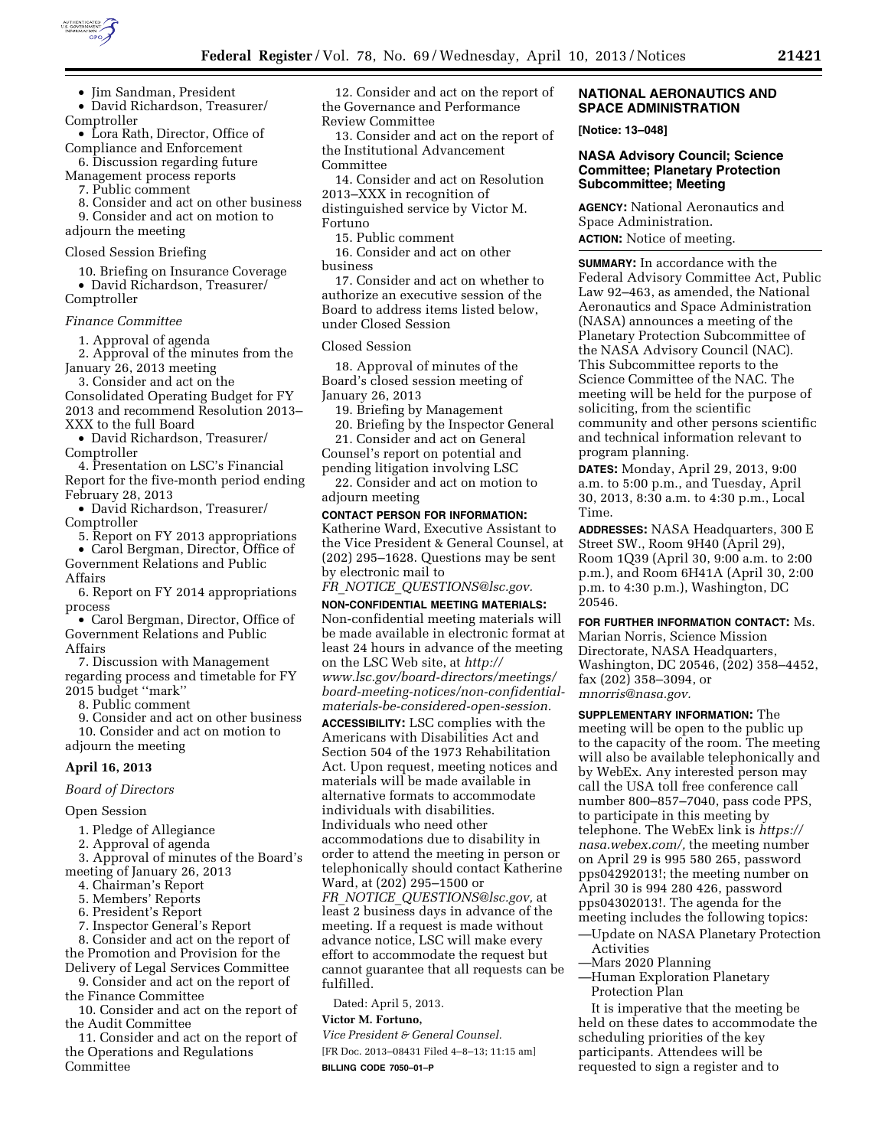

• Jim Sandman, President

• David Richardson, Treasurer/ Comptroller

• Lora Rath, Director, Office of Compliance and Enforcement

6. Discussion regarding future Management process reports

7. Public comment

8. Consider and act on other business 9. Consider and act on motion to

adjourn the meeting

## Closed Session Briefing

10. Briefing on Insurance Coverage • David Richardson, Treasurer/ Comptroller

#### *Finance Committee*

1. Approval of agenda

2. Approval of the minutes from the January 26, 2013 meeting

3. Consider and act on the Consolidated Operating Budget for FY 2013 and recommend Resolution 2013– XXX to the full Board

• David Richardson, Treasurer/ Comptroller

4. Presentation on LSC's Financial Report for the five-month period ending February 28, 2013

• David Richardson, Treasurer/ Comptroller

5. Report on FY 2013 appropriations • Carol Bergman, Director, Office of

Government Relations and Public Affairs

6. Report on FY 2014 appropriations process

• Carol Bergman, Director, Office of Government Relations and Public Affairs

7. Discussion with Management regarding process and timetable for FY 2015 budget ''mark''

8. Public comment

9. Consider and act on other business

10. Consider and act on motion to adjourn the meeting

### **April 16, 2013**

#### *Board of Directors*

#### Open Session

- 1. Pledge of Allegiance
- 2. Approval of agenda

3. Approval of minutes of the Board's meeting of January 26, 2013

- 4. Chairman's Report
- 5. Members' Reports
- 6. President's Report
- 7. Inspector General's Report

8. Consider and act on the report of the Promotion and Provision for the

Delivery of Legal Services Committee 9. Consider and act on the report of

the Finance Committee

10. Consider and act on the report of the Audit Committee

11. Consider and act on the report of the Operations and Regulations Committee

12. Consider and act on the report of the Governance and Performance Review Committee

13. Consider and act on the report of the Institutional Advancement Committee

14. Consider and act on Resolution 2013–XXX in recognition of distinguished service by Victor M. Fortuno

15. Public comment

16. Consider and act on other business

17. Consider and act on whether to authorize an executive session of the Board to address items listed below, under Closed Session

#### Closed Session

18. Approval of minutes of the Board's closed session meeting of January 26, 2013

19. Briefing by Management 20. Briefing by the Inspector General

21. Consider and act on General Counsel's report on potential and pending litigation involving LSC

22. Consider and act on motion to adjourn meeting

### **CONTACT PERSON FOR INFORMATION:**

Katherine Ward, Executive Assistant to the Vice President & General Counsel, at (202) 295–1628. Questions may be sent by electronic mail to

*FR*\_*NOTICE*\_*[QUESTIONS@lsc.gov.](mailto:FR_NOTICE_QUESTIONS@lsc.gov)* 

**NON-CONFIDENTIAL MEETING MATERIALS:**  Non-confidential meeting materials will be made available in electronic format at least 24 hours in advance of the meeting on the LSC Web site, at *[http://](http://www.lsc.gov/board-directors/meetings/board-meeting-notices/non-confidential-materials-be-considered-open-session)  [www.lsc.gov/board-directors/meetings/](http://www.lsc.gov/board-directors/meetings/board-meeting-notices/non-confidential-materials-be-considered-open-session)  [board-meeting-notices/non-confidential](http://www.lsc.gov/board-directors/meetings/board-meeting-notices/non-confidential-materials-be-considered-open-session)[materials-be-considered-open-session.](http://www.lsc.gov/board-directors/meetings/board-meeting-notices/non-confidential-materials-be-considered-open-session)* 

**ACCESSIBILITY:** LSC complies with the Americans with Disabilities Act and Section 504 of the 1973 Rehabilitation Act. Upon request, meeting notices and materials will be made available in alternative formats to accommodate individuals with disabilities. Individuals who need other accommodations due to disability in order to attend the meeting in person or telephonically should contact Katherine Ward, at (202) 295–1500 or *FR*\_*NOTICE*\_*[QUESTIONS@lsc.gov,](mailto:FR_NOTICE_QUESTIONS@lsc.gov)* at least 2 business days in advance of the meeting. If a request is made without advance notice, LSC will make every effort to accommodate the request but cannot guarantee that all requests can be fulfilled.

Dated: April 5, 2013.

# **Victor M. Fortuno,**

*Vice President & General Counsel.* 

[FR Doc. 2013–08431 Filed 4–8–13; 11:15 am] **BILLING CODE 7050–01–P** 

## **NATIONAL AERONAUTICS AND SPACE ADMINISTRATION**

**[Notice: 13–048]** 

# **NASA Advisory Council; Science Committee; Planetary Protection Subcommittee; Meeting**

**AGENCY:** National Aeronautics and Space Administration. **ACTION:** Notice of meeting.

**SUMMARY:** In accordance with the Federal Advisory Committee Act, Public Law 92–463, as amended, the National Aeronautics and Space Administration (NASA) announces a meeting of the Planetary Protection Subcommittee of the NASA Advisory Council (NAC). This Subcommittee reports to the Science Committee of the NAC. The meeting will be held for the purpose of soliciting, from the scientific community and other persons scientific and technical information relevant to program planning.

**DATES:** Monday, April 29, 2013, 9:00 a.m. to 5:00 p.m., and Tuesday, April 30, 2013, 8:30 a.m. to 4:30 p.m., Local Time.

**ADDRESSES:** NASA Headquarters, 300 E Street SW., Room 9H40 (April 29), Room 1Q39 (April 30, 9:00 a.m. to 2:00 p.m.), and Room 6H41A (April 30, 2:00 p.m. to 4:30 p.m.), Washington, DC 20546.

**FOR FURTHER INFORMATION CONTACT:** Ms. Marian Norris, Science Mission Directorate, NASA Headquarters, Washington, DC 20546, (202) 358–4452, fax (202) 358–3094, or *[mnorris@nasa.gov.](mailto:mnorris@nasa.gov)* 

**SUPPLEMENTARY INFORMATION:** The meeting will be open to the public up to the capacity of the room. The meeting will also be available telephonically and by WebEx. Any interested person may call the USA toll free conference call number 800–857–7040, pass code PPS, to participate in this meeting by telephone. The WebEx link is *[https://](https://nasa.webex.com/)  [nasa.webex.com/,](https://nasa.webex.com/)* the meeting number on April 29 is 995 580 265, password pps04292013!; the meeting number on April 30 is 994 280 426, password pps04302013!. The agenda for the meeting includes the following topics:

—Update on NASA Planetary Protection Activities

- —Mars 2020 Planning
- —Human Exploration Planetary Protection Plan

It is imperative that the meeting be held on these dates to accommodate the scheduling priorities of the key participants. Attendees will be requested to sign a register and to